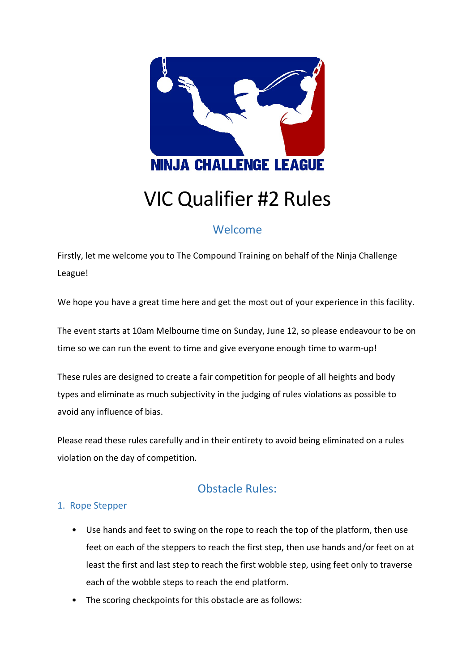

# VIC Qualifier #2 Rules

## Welcome

Firstly, let me welcome you to The Compound Training on behalf of the Ninja Challenge League!

We hope you have a great time here and get the most out of your experience in this facility.

The event starts at 10am Melbourne time on Sunday, June 12, so please endeavour to be on time so we can run the event to time and give everyone enough time to warm-up!

These rules are designed to create a fair competition for people of all heights and body types and eliminate as much subjectivity in the judging of rules violations as possible to avoid any influence of bias.

Please read these rules carefully and in their entirety to avoid being eliminated on a rules violation on the day of competition.

# Obstacle Rules:

## 1. Rope Stepper

- Use hands and feet to swing on the rope to reach the top of the platform, then use feet on each of the steppers to reach the first step, then use hands and/or feet on at least the first and last step to reach the first wobble step, using feet only to traverse each of the wobble steps to reach the end platform.
- The scoring checkpoints for this obstacle are as follows: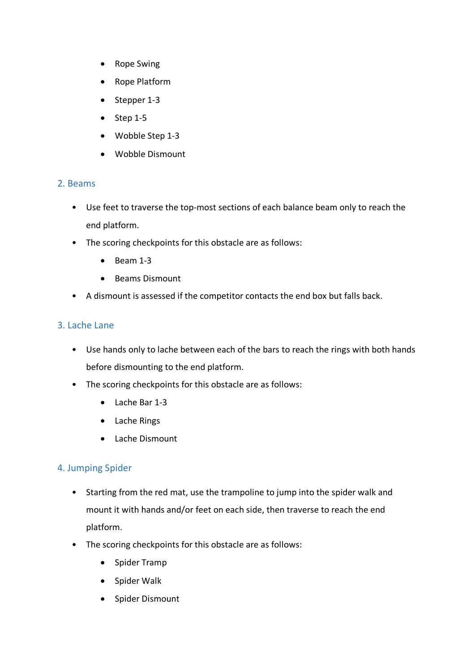- Rope Swing
- Rope Platform
- Stepper 1-3
- $\bullet$  Step 1-5
- Wobble Step 1-3
- Wobble Dismount

#### 2. Beams

- Use feet to traverse the top-most sections of each balance beam only to reach the end platform.
- The scoring checkpoints for this obstacle are as follows:
	- Beam 1-3
	- Beams Dismount
- A dismount is assessed if the competitor contacts the end box but falls back.

#### 3. Lache Lane

- Use hands only to lache between each of the bars to reach the rings with both hands before dismounting to the end platform.
- The scoring checkpoints for this obstacle are as follows:
	- Lache Bar 1-3
	- Lache Rings
	- Lache Dismount

#### 4. Jumping Spider

- Starting from the red mat, use the trampoline to jump into the spider walk and mount it with hands and/or feet on each side, then traverse to reach the end platform.
- The scoring checkpoints for this obstacle are as follows:
	- Spider Tramp
	- Spider Walk
	- Spider Dismount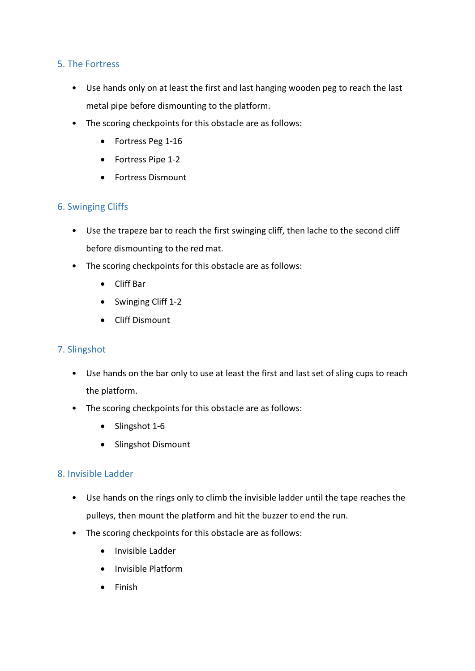#### 5. The Fortress

- Use hands only on at least the first and last hanging wooden peg to reach the last metal pipe before dismounting to the platform.
- The scoring checkpoints for this obstacle are as follows:
	- Fortress Peg 1-16
	- Fortress Pipe 1-2
	- Fortress Dismount

#### 6. Swinging Cliffs

- Use the trapeze bar to reach the first swinging cliff, then lache to the second cliff before dismounting to the red mat.
- The scoring checkpoints for this obstacle are as follows:
	- Cliff Bar
	- Swinging Cliff 1-2
	- Cliff Dismount

#### 7. Slingshot

- Use hands on the bar only to use at least the first and last set of sling cups to reach the platform.
- The scoring checkpoints for this obstacle are as follows:
	- Slingshot 1-6
	- Slingshot Dismount

### 8. Invisible Ladder

- Use hands on the rings only to climb the invisible ladder until the tape reaches the pulleys, then mount the platform and hit the buzzer to end the run.
- The scoring checkpoints for this obstacle are as follows:
	- Invisible Ladder
	- Invisible Platform
	- Finish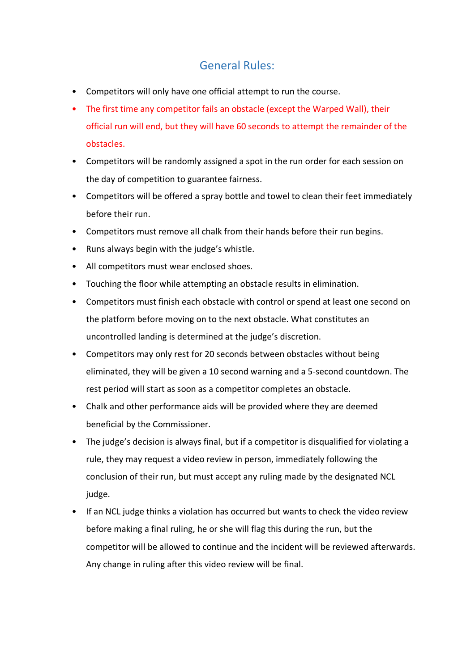## General Rules:

- Competitors will only have one official attempt to run the course.
- The first time any competitor fails an obstacle (except the Warped Wall), their official run will end, but they will have 60 seconds to attempt the remainder of the obstacles.
- Competitors will be randomly assigned a spot in the run order for each session on the day of competition to guarantee fairness.
- Competitors will be offered a spray bottle and towel to clean their feet immediately before their run.
- Competitors must remove all chalk from their hands before their run begins.
- Runs always begin with the judge's whistle.
- All competitors must wear enclosed shoes.
- Touching the floor while attempting an obstacle results in elimination.
- Competitors must finish each obstacle with control or spend at least one second on the platform before moving on to the next obstacle. What constitutes an uncontrolled landing is determined at the judge's discretion.
- Competitors may only rest for 20 seconds between obstacles without being eliminated, they will be given a 10 second warning and a 5-second countdown. The rest period will start as soon as a competitor completes an obstacle.
- Chalk and other performance aids will be provided where they are deemed beneficial by the Commissioner.
- The judge's decision is always final, but if a competitor is disqualified for violating a rule, they may request a video review in person, immediately following the conclusion of their run, but must accept any ruling made by the designated NCL judge.
- If an NCL judge thinks a violation has occurred but wants to check the video review before making a final ruling, he or she will flag this during the run, but the competitor will be allowed to continue and the incident will be reviewed afterwards. Any change in ruling after this video review will be final.